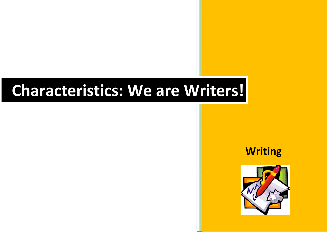## **Characteristics: We are Writers!**

 **Writing**